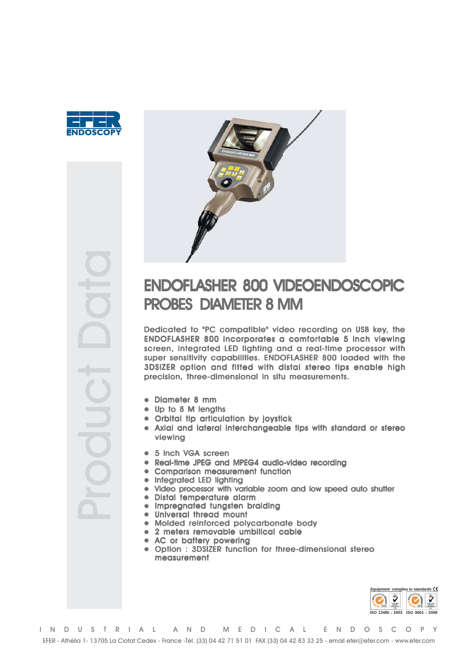



# ENDOFLASHER 800 VIDEOENDOSCOPIC PROBES DIAMETER 8 MM

Dedicated to "PC compatible" video recording on USB key, the ENDOFLASHER 800 incorporates a comfortable 5 inch viewing screen, integrated LED lighting and a real-time processor with super sensitivity capabilities. ENDOFLASHER 800 loaded with the 3DSIZER option and fitted with distal stereo tips enable high precision, three-dimensional in situ measurements.

- Diameter 8 mm
- Up to 8 M lengths
- Orbital tip articulation by joystick
- Axial and lateral interchangeable tips with standard or stereo viewing
- 5 inch VGA screen
- Real-time JPEG and MPEG4 audio-video recording
- Comparison measurement function
- Integrated LED lighting
- Video processor with variable zoom and low speed auto shutter
- Distal temperature alarm
- Impregnated tungsten braiding
- Universal thread mount
- Molded reinforced polycarbonate body
- 2 meters removable umbilical cable
- AC or battery powering
- Option : 3DSIZER function for three-dimensional stereo measurement



Product Data